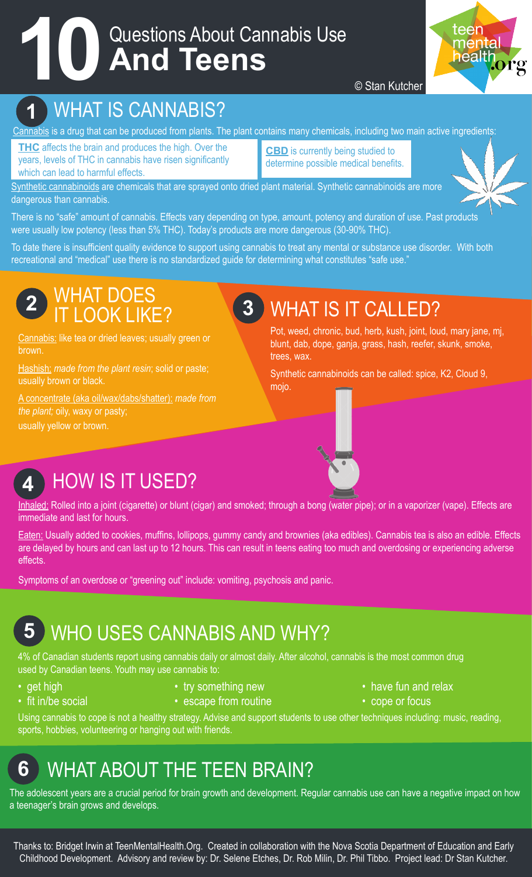# Questions About Cannabis Use **10 And Teens**



#### © Stan Kutcher

#### **1** WHAT IS CANNABIS?

Cannabis is a drug that can be produced from plants. The plant contains many chemicals, including two main active ingredients:

**THC** affects the brain and produces the high. Over the years, levels of THC in cannabis have risen significantly which can lead to harmful effects.

**CBD** is currently being studied to determine possible medical benefits.

Synthetic cannabinoids are chemicals that are sprayed onto dried plant material. Synthetic cannabinoids are more dangerous than cannabis.

There is no "safe" amount of cannabis. Effects vary depending on type, amount, potency and duration of use. Past products were usually low potency (less than 5% THC). Today's products are more dangerous (30-90% THC).

To date there is insufficient quality evidence to support using cannabis to treat any mental or substance use disorder. With both recreational and "medical" use there is no standardized guide for determining what constitutes "safe use."

#### **2** WHAT DOES IT LOOK LIKE?

Cannabis: like tea or dried leaves; usually green or brown.

Hashish: *made from the plant resin*; solid or paste; usually brown or black.

A concentrate (aka oil/wax/dabs/shatter): *made from the plant;* oily, waxy or pasty; usually yellow or brown.

## **3** WHAT IS IT CALLED?

Pot, weed, chronic, bud, herb, kush, joint, loud, mary jane, mj, blunt, dab, dope, ganja, grass, hash, reefer, skunk, smoke, trees, wax.

Synthetic cannabinoids can be called: spice, K2, Cloud 9, mojo.



#### **4** HOW IS IT USED?

Inhaled: Rolled into a joint (cigarette) or blunt (cigar) and smoked; through a bong (water pipe); or in a vaporizer (vape). Effects are immediate and last for hours.

Eaten: Usually added to cookies, muffins, lollipops, gummy candy and brownies (aka edibles). Cannabis tea is also an edible. Effects are delayed by hours and can last up to 12 hours. This can result in teens eating too much and overdosing or experiencing adverse effects.

Symptoms of an overdose or "greening out" include: vomiting, psychosis and panic.

## **5** WHO USES CANNABIS AND WHY?

4% of Canadian students report using cannabis daily or almost daily. After alcohol, cannabis is the most common drug used by Canadian teens. Youth may use cannabis to:

- 
- 
- get high try something new the example of the have fun and relax
- fit in/be social escape from routine  $\bullet$  cope or focus
- -

Using cannabis to cope is not a healthy strategy. Advise and support students to use other techniques including: music, reading, sports, hobbies, volunteering or hanging out with friends.

## **6** WHAT ABOUT THE TEEN BRAIN?

The adolescent years are a crucial period for brain growth and development. Regular cannabis use can have a negative impact on how a teenager's brain grows and develops.

Thanks to: Bridget Irwin at TeenMentalHealth.Org. Created in collaboration with the Nova Scotia Department of Education and Early Childhood Development. Advisory and review by: Dr. Selene Etches, Dr. Rob Milin, Dr. Phil Tibbo. Project lead: Dr Stan Kutcher.